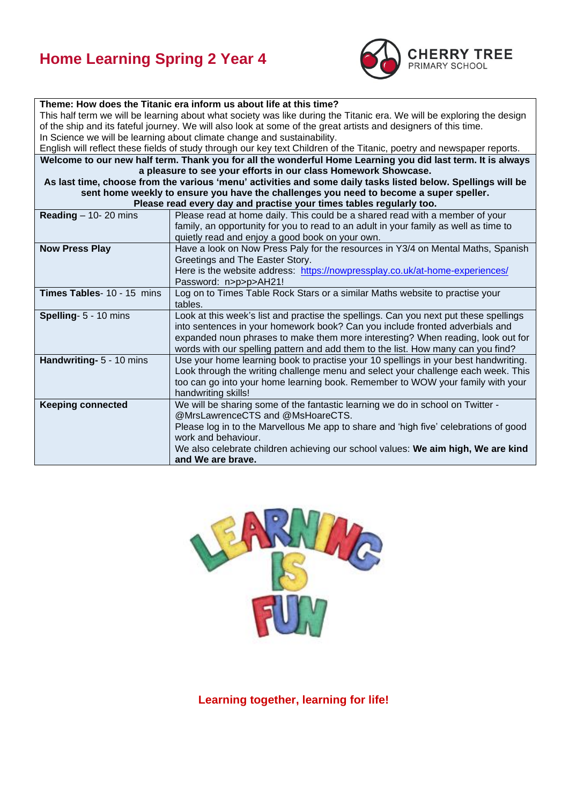## **Home Learning Spring 2 Year 4**



| Theme: How does the Titanic era inform us about life at this time?                                                     |  |  |  |  |  |
|------------------------------------------------------------------------------------------------------------------------|--|--|--|--|--|
| This half term we will be learning about what society was like during the Titanic era. We will be exploring the design |  |  |  |  |  |
| of the ship and its fateful journey. We will also look at some of the great artists and designers of this time.        |  |  |  |  |  |
| In Science we will be learning about climate change and sustainability.                                                |  |  |  |  |  |
| English will reflect these fields of study through our key text Children of the Titanic, poetry and newspaper reports. |  |  |  |  |  |
| Welcome to our new half term. Thank you for all the wonderful Home Learning you did last term. It is always            |  |  |  |  |  |
| a pleasure to see your efforts in our class Homework Showcase.                                                         |  |  |  |  |  |
| As last time, choose from the various 'menu' activities and some daily tasks listed below. Spellings will be           |  |  |  |  |  |
| sent home weekly to ensure you have the challenges you need to become a super speller.                                 |  |  |  |  |  |
| Please read every day and practise your times tables regularly too.                                                    |  |  |  |  |  |
| Please read at home daily. This could be a shared read with a member of your                                           |  |  |  |  |  |
| family, an opportunity for you to read to an adult in your family as well as time to                                   |  |  |  |  |  |
| quietly read and enjoy a good book on your own.                                                                        |  |  |  |  |  |
| Have a look on Now Press Paly for the resources in Y3/4 on Mental Maths, Spanish                                       |  |  |  |  |  |
| Greetings and The Easter Story.                                                                                        |  |  |  |  |  |
| Here is the website address: https://nowpressplay.co.uk/at-home-experiences/                                           |  |  |  |  |  |
| Password: n>p>p>AH21!                                                                                                  |  |  |  |  |  |
| Log on to Times Table Rock Stars or a similar Maths website to practise your                                           |  |  |  |  |  |
|                                                                                                                        |  |  |  |  |  |
| Look at this week's list and practise the spellings. Can you next put these spellings                                  |  |  |  |  |  |
| into sentences in your homework book? Can you include fronted adverbials and                                           |  |  |  |  |  |
| expanded noun phrases to make them more interesting? When reading, look out for                                        |  |  |  |  |  |
| words with our spelling pattern and add them to the list. How many can you find?                                       |  |  |  |  |  |
| Use your home learning book to practise your 10 spellings in your best handwriting.                                    |  |  |  |  |  |
| Look through the writing challenge menu and select your challenge each week. This                                      |  |  |  |  |  |
| too can go into your home learning book. Remember to WOW your family with your                                         |  |  |  |  |  |
|                                                                                                                        |  |  |  |  |  |
| We will be sharing some of the fantastic learning we do in school on Twitter -<br>@MrsLawrenceCTS and @MsHoareCTS.     |  |  |  |  |  |
| Please log in to the Marvellous Me app to share and 'high five' celebrations of good                                   |  |  |  |  |  |
| work and behaviour.                                                                                                    |  |  |  |  |  |
|                                                                                                                        |  |  |  |  |  |
| We also celebrate children achieving our school values: We aim high, We are kind                                       |  |  |  |  |  |
|                                                                                                                        |  |  |  |  |  |



**Learning together, learning for life!**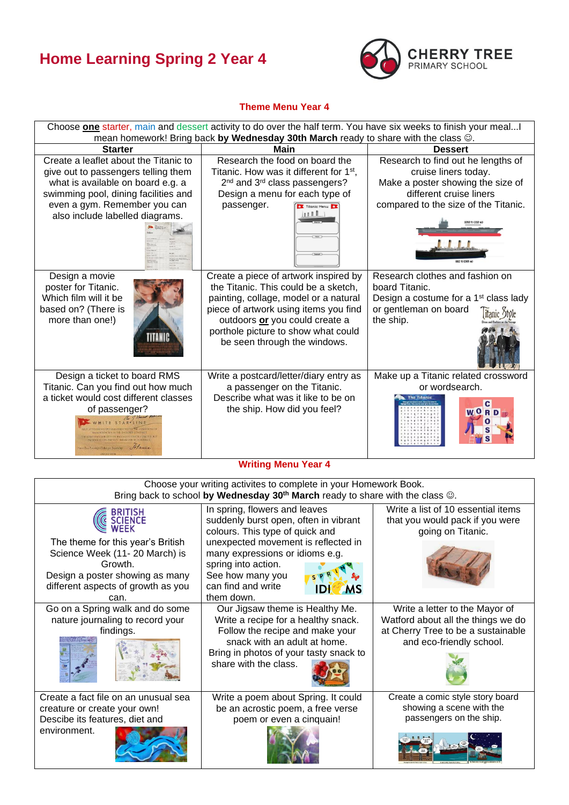## **Home Learning Spring 2 Year 4**



## **Theme Menu Year 4**



| Choose your writing activites to complete in your Homework Book.<br>Bring back to school by Wednesday 30 <sup>th</sup> March ready to share with the class $\circledcirc$ .                  |                                                                                                                                                                                                                                                                                        |                                                                                                                                        |  |  |
|----------------------------------------------------------------------------------------------------------------------------------------------------------------------------------------------|----------------------------------------------------------------------------------------------------------------------------------------------------------------------------------------------------------------------------------------------------------------------------------------|----------------------------------------------------------------------------------------------------------------------------------------|--|--|
| <b>BRITISH<br/>SCIENCE</b><br>The theme for this year's British<br>Science Week (11-20 March) is<br>Growth.<br>Design a poster showing as many<br>different aspects of growth as you<br>can. | In spring, flowers and leaves<br>suddenly burst open, often in vibrant<br>colours. This type of quick and<br>unexpected movement is reflected in<br>many expressions or idioms e.g.<br>spring into action.<br>See how many you<br>can find and write<br>IDI<br><b>MS</b><br>them down. | Write a list of 10 essential items<br>that you would pack if you were<br>going on Titanic.                                             |  |  |
| Go on a Spring walk and do some<br>nature journaling to record your<br>findings.                                                                                                             | Our Jigsaw theme is Healthy Me.<br>Write a recipe for a healthy snack.<br>Follow the recipe and make your<br>snack with an adult at home.<br>Bring in photos of your tasty snack to<br>share with the class.                                                                           | Write a letter to the Mayor of<br>Watford about all the things we do<br>at Cherry Tree to be a sustainable<br>and eco-friendly school. |  |  |
| Create a fact file on an unusual sea<br>creature or create your own!<br>Descibe its features, diet and<br>environment.                                                                       | Write a poem about Spring. It could<br>be an acrostic poem, a free verse<br>poem or even a cinquain!                                                                                                                                                                                   | Create a comic style story board<br>showing a scene with the<br>passengers on the ship.                                                |  |  |